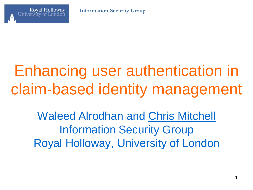

# Enhancing user authentication in claim-based identity management

Waleed Alrodhan and Chris Mitchell Information Security Group Royal Holloway, University of London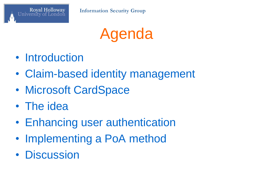

Agenda

- Introduction
- Claim-based identity management
- Microsoft CardSpace
- The idea
- Enhancing user authentication
- Implementing a PoA method
- Discussion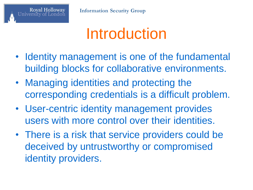

# Introduction

- Identity management is one of the fundamental building blocks for collaborative environments.
- Managing identities and protecting the corresponding credentials is a difficult problem.
- User-centric identity management provides users with more control over their identities.
- There is a risk that service providers could be deceived by untrustworthy or compromised identity providers.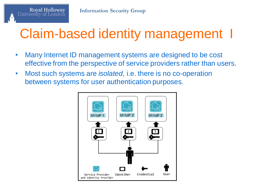

#### Claim-based identity management I

- Many Internet ID management systems are designed to be cost effective from the perspective of service providers rather than users.
- Most such systems are *isolated*, i.e. there is no co-operation between systems for user authentication purposes.

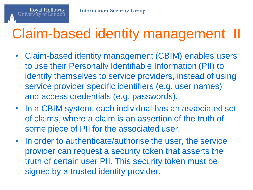

### Claim-based identity management II

- Claim-based identity management (CBIM) enables users to use their Personally Identifiable Information (PII) to identify themselves to service providers, instead of using service provider specific identifiers (e.g. user names) and access credentials (e.g. passwords).
- In a CBIM system, each individual has an associated set of claims, where a claim is an assertion of the truth of some piece of PII for the associated user.
- In order to authenticate/authorise the user, the service provider can request a security token that asserts the truth of certain user PII. This security token must be signed by a trusted identity provider.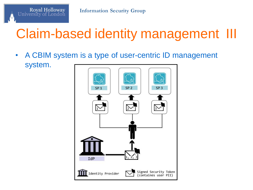

### Claim-based identity management III

• A CBIM system is a type of user-centric ID management system.

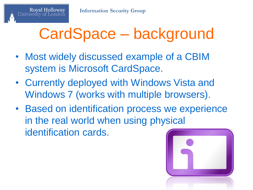# CardSpace – background

- Most widely discussed example of a CBIM system is Microsoft CardSpace.
- Currently deployed with Windows Vista and Windows 7 (works with multiple browsers).
- Based on identification process we experience in the real world when using physical identification cards.

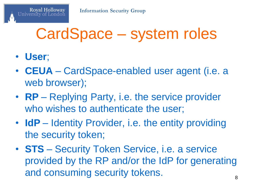# CardSpace – system roles

• **User**;

**Royal Holloway** 

- **CEUA** CardSpace-enabled user agent (i.e. a web browser);
- **RP** Replying Party, i.e. the service provider who wishes to authenticate the user;
- **IdP** Identity Provider, i.e. the entity providing the security token;
- **STS** Security Token Service, i.e. a service provided by the RP and/or the IdP for generating and consuming security tokens.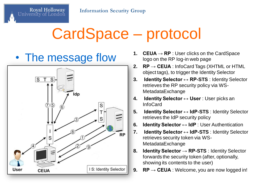# CardSpace – protocol

Royal Holloway

University of Londor



- The message flow 1. CEUA→RP : User clicks on the CardSpace logo on the RP log-in web page logo on the RP log-in web page
	- **2. RP → CEUA** : InfoCard Tags (XHTML or HTML object tags), to trigger the Identity Selector
	- **3. Identity Selector ↔ RP-STS** : Identity Selector retrieves the RP security policy via WS-MetadataExchange
	- **4. Identity Selector ↔ User** : User picks an InfoCard
	- **5. Identity Selector ↔ IdP-STS** : Identity Selector retrieves the IdP security policy
	- **6. Identity Selector ↔ IdP** : User Authentication
	- **7. Identity Selector ↔ IdP-STS** : Identity Selector retrieves security token via WS-MetadataExchange
	- **8. Identity Selector → RP-STS** : Identity Selector forwards the security token (after, optionally, showing its contents to the user)
	- **9.**  $\mathsf{RP} \rightarrow \mathsf{CEUA}$  : Welcome, you are now logged in!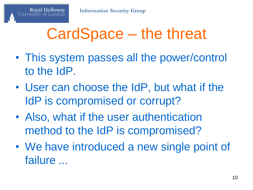# CardSpace – the threat

- This system passes all the power/control to the IdP.
- User can choose the IdP, but what if the IdP is compromised or corrupt?
- Also, what if the user authentication method to the IdP is compromised?
- We have introduced a new single point of failure ...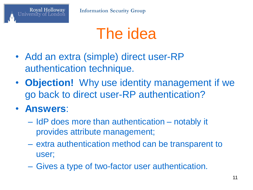### The idea

- Add an extra (simple) direct user-RP authentication technique.
- **Objection!** Why use identity management if we go back to direct user-RP authentication?

#### • **Answers**:

**Royal Holloway** 

- IdP does more than authentication notably it provides attribute management;
- extra authentication method can be transparent to user;
- Gives a type of two-factor user authentication.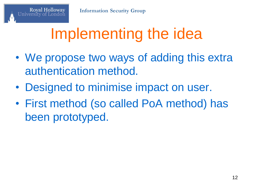# Implementing the idea

- We propose two ways of adding this extra authentication method.
- Designed to minimise impact on user.
- First method (so called PoA method) has been prototyped.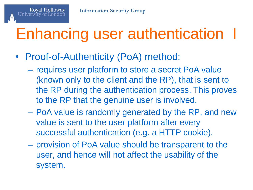# Enhancing user authentication

• Proof-of-Authenticity (PoA) method:

**Royal Holloway** 

- requires user platform to store a secret PoA value (known only to the client and the RP), that is sent to the RP during the authentication process. This proves to the RP that the genuine user is involved.
- PoA value is randomly generated by the RP, and new value is sent to the user platform after every successful authentication (e.g. a HTTP cookie).
- provision of PoA value should be transparent to the user, and hence will not affect the usability of the system.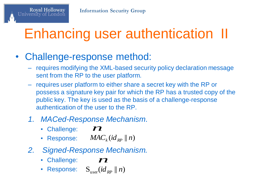# Enhancing user authentication II

#### • Challenge-response method:

Royal Holloway

- requires modifying the XML-based security policy declaration message sent from the RP to the user platform.
- requires user platform to either share a secret key with the RP or possess a signature key pair for which the RP has a trusted copy of the public key. The key is used as the basis of a challenge-response authentication of the user to the RP.
- *1. MACed-Response Mechanism.*<br> **•** Challenge:  $\boldsymbol{M}$ <br> **•** Response:  $MAC_k(id_{RP} \parallel n)$ 
	- Challenge:
	- Response:  $MAC_k(id_{RP} || n)$
- *2. Signed-Response Mechanism.* **• Response:** *MAC<sub>k</sub>* (*id*<sub>RP</sub> || *n*)<br> **Signed-Response Mechani**<br>
• Challenge: **72**<br>
• Response:  $S_{user}(id_{PP} || n)$ *n*
	- Challenge: **72**
	- $\mathbf{S}_{user}(\mathit{id}_{RP} \parallel n)$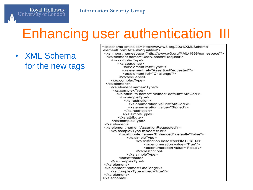#### Enhancing user authentication III

• XML Schema for the new tags

Royal Holloway<br>University of London

<xs:schema xmlns:xs="http://www.w3.org/2001/XMLSchema" elementFormDefault="qualified"> <xs:import namespace="http://www.w3.org/XML/1998/namespace"/> <xs:element name="UserConsentRequest"> <xs:complexType> <xs:sequence> <xs:element ref="Type"/> <xs:element ref="AssertionRequested"/> <xs:element ref="Challenge"/> </xs:sequence> </xs:complexType> </xs:element> <xs:element name="Type"> <xs:complexTvpe> <xs:attribute name="Method" default="MACed"> <xs:simpleType> <xs:restriction> <xs:enumeration value="MACed"/> <xs:enumeration value="Signed"/> </xs:restriction> </xs:simpleType> </xs:attribute> </xs:complexType> </xs:element> <xs:element name="AssertionRequested"/> <xs:complexType mixed="true"> <xs:attribute name="Enhanced" default="False"> <xs:simpleType> <xs:restriction base="xs:NMTOKEN"> <xs:enumeration value="True"/> <xs:enumeration value="False"/> </xs:restriction> </xs:simpleType> </xs:attribute> </xs:complexType> </xs:element> <xs:element name="Challenge"/> <xs:complexType mixed="true"/>  $<$ /xs:element> </xs:schema>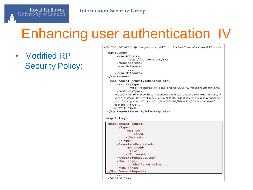#### **Information Security Group**

#### Enhancing user authentication IV

• Modified RP Security Policy:

Royal Holloway<br>University of London

|                                           | <sp:issuedtoken sp:includetoken="xs:anyURI" sp:usage="xs:anyURI"></sp:issuedtoken>        |
|-------------------------------------------|-------------------------------------------------------------------------------------------|
| <sp:issuer></sp:issuer>                   |                                                                                           |
| <wsa:address></wsa:address>               |                                                                                           |
|                                           | http://contoso.com/sts                                                                    |
|                                           |                                                                                           |
| <wsa:metadata></wsa:metadata>             |                                                                                           |
|                                           |                                                                                           |
|                                           |                                                                                           |
| $\langle$ /sp:Issuer>                     |                                                                                           |
|                                           | <sp:requestsecuritytokentemplate></sp:requestsecuritytokentemplate>                       |
| <wst:keytype></wst:keytype>               |                                                                                           |
|                                           | http://schemas.xmlsoap.org/ws/2005/02/trust/SymmetricKey                                  |
|                                           | <wst:claims dialect="http://schemas.xmlsoap.org/ws/2005/05/identity"></wst:claims>        |
|                                           | <ic:claimtype uri="http:///ws/2005/05/identity/claims/givenname"></ic:claimtype>          |
|                                           | <ic:claimtype <="" th="" uri="http:///ws/2005/05/identity/claims/surname"></ic:claimtype> |
| Optional="true" $/$                       |                                                                                           |
|                                           |                                                                                           |
|                                           |                                                                                           |
| <wsp:policy></wsp:policy>                 |                                                                                           |
| <userconsentrequest></userconsentrequest> |                                                                                           |
| $<$ Type $>$                              |                                                                                           |
|                                           | <method></method>                                                                         |
|                                           | MACed                                                                                     |
|                                           |                                                                                           |
| $\langle$ /Type $\rangle$                 |                                                                                           |
|                                           | <assertionrequested></assertionrequested>                                                 |
|                                           | <enhanced></enhanced>                                                                     |
|                                           | True                                                                                      |
|                                           |                                                                                           |
|                                           |                                                                                           |
| <challenge></challenge>                   |                                                                                           |
|                                           | Challenge value                                                                           |

 $\cdot$  . .

 $\langle$ /wsp:Policy>

</Challenge> </UserConsentRequest>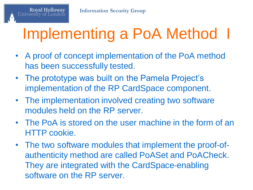# Implementing a PoA Method I

- A proof of concept implementation of the PoA method has been successfully tested.
- The prototype was built on the Pamela Project's implementation of the RP CardSpace component.
- The implementation involved creating two software modules held on the RP server.
- The PoA is stored on the user machine in the form of an HTTP cookie.
- The two software modules that implement the proof-ofauthenticity method are called PoASet and PoACheck. They are integrated with the CardSpace-enabling software on the RP server.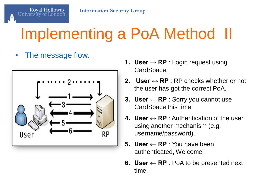# Implementing a PoA Method II

The message flow.

Royal Holloway

University of



- **1. User → RP** : Login request using CardSpace.
- **2. User ↔ RP** : RP checks whether or not the user has got the correct PoA.
- **3. User ← RP** : Sorry you cannot use CardSpace this time!
- **4. User**  $\leftrightarrow$  **RP** : Authentication of the user using another mechanism (e.g. username/password).
- **5. User ← RP** : You have been authenticated, Welcome!
- **6. User ← RP** : PoA to be presented next time.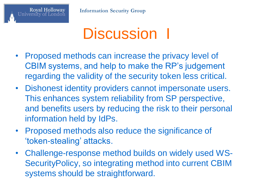### Discussion I

- Proposed methods can increase the privacy level of CBIM systems, and help to make the RP's judgement regarding the validity of the security token less critical.
- Dishonest identity providers cannot impersonate users. This enhances system reliability from SP perspective, and benefits users by reducing the risk to their personal information held by IdPs.
- Proposed methods also reduce the significance of 'token-stealing' attacks.
- Challenge-response method builds on widely used WS-SecurityPolicy, so integrating method into current CBIM systems should be straightforward.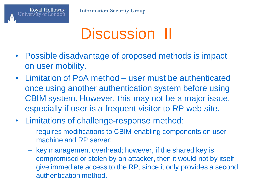# Discussion II

- Possible disadvantage of proposed methods is impact on user mobility.
- Limitation of PoA method user must be authenticated once using another authentication system before using CBIM system. However, this may not be a major issue, especially if user is a frequent visitor to RP web site.
- Limitations of challenge-response method:
	- requires modifications to CBIM-enabling components on user machine and RP server;
	- key management overhead; however, if the shared key is compromised or stolen by an attacker, then it would not by itself give immediate access to the RP, since it only provides a second authentication method.